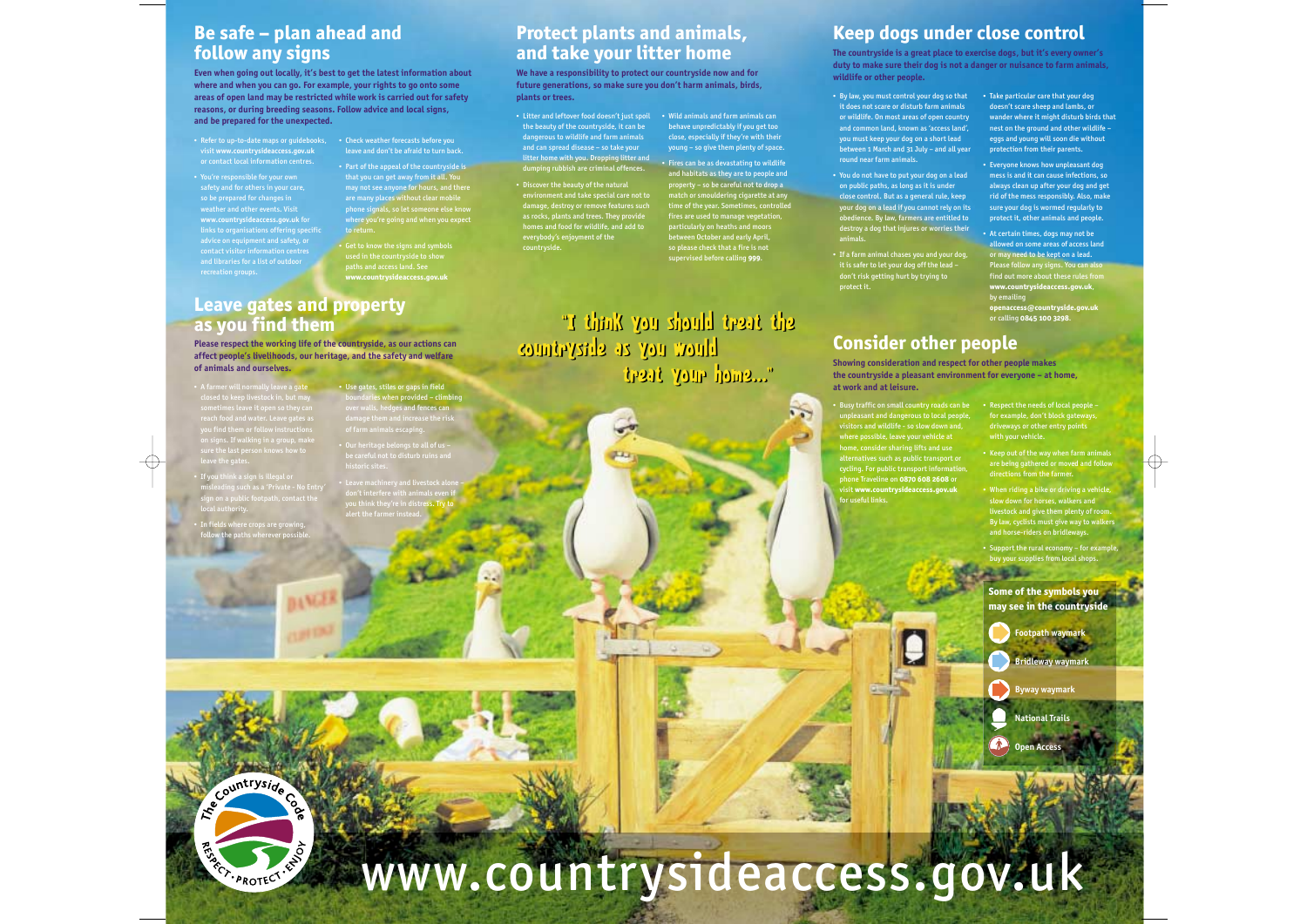### **Be safe – plan ahead and follow any signs**

**Even when going out locally, it's best to get the latest information about where and when you can go. For example, your rights to go onto some areas of open land may be restricted while work is carried out for safety reasons, or during breeding seasons. Follow advice and local signs, and be prepared for the unexpected.**

- Refer to up-to-date maps or guidebooks, visit **www.countrysideaccess.gov.uk** or contact local information centres.
- You're responsible for your own safety and for others in your care, so be prepared for changes in weather and other events. Visit **www.countrysideaccess.gov.uk** for links to organisations offering specific advice on equipment and safety, or contact visitor information centres and libraries for a list of outdoor recreation groups.

• Check weather forecasts before you leave and don't be afraid to turn back.

• Part of the appeal of the countryside is that you can get away from it all. You may not see anyone for hours, and there are many places without clear mobile phone signals, so let someone else know to retur

• Get to know the signs and symbols used in the countryside to show paths and access land. See **www.countrysideaccess.gov.uk**

• Use gates, stiles or gaps in field ndari<mark>es when provided – climbing</mark> over walls, hedges and fences can damage them and increase the risk aamage them and increase t<br>of farm animals escaping.

• Our heritage belongs to all of us – be careful not to disturb ruins and

• Leave machinery and livestock alone – don't interfere with animals even if you think they're in distress. Try to you think they're in distre<br>alert the farmer instead.

historic sites.

# **Leave gates and property as you find them**

**Please respect the working life of the countryside, as our actions can affect people's livelihoods, our heritage, and the safety and welfare of animals and ourselves.**

- A farmer will normally leave a gate sometimes leave it open so they can reach food and water. Leave gates as you find them or follow instructions on signs. If walking in a group, make sure the last person knows how to leave the gates.
- If you think a sign is illegal or misleading such as a 'Private - No Entry' sign on a public footpath, contact the local authority.
- In fields where crops are growing, follow the paths wherever possible.

Ecountryside Com

RISARDTECT - LAD

•

# countryside.

# **Protect plants and animals, and take your litter home**

**We have a responsibility to protect our countryside now and for future generations, so make sure you don't harm animals, birds, plants or trees.**

- Litter and leftover food doesn't just spoil Wild animals and farm animals can the beauty of the countryside, it can be dangerous to wildlife and farm animals and can spread disease – so take your litter home with you. Dropping litter and dumping rubbish are criminal offences.
- Discover the beauty of the natural environment and take special care not to damage, destroy or remove features such as rocks, plants and trees. They provide homes and food for wildlife, and add to everybody's enjoyment of the

behave unpredictably if you get too close, especially if they're with their young – so give them plenty of space. • Fires can be as devastating to wildlife

and habitats as they are to people and property – so be careful not to drop a match or smouldering cigarette at any time of the year. Sometimes, controlled fires are used to manage vegetation, particularly on heaths and moors between October and early April, so please check that a fire is not supervised before calling **999**.

"I think you should treat the "I think you should treat the countryside as you would countryside as you would treat your home..." treat your home..."

# **Keep dogs under close control**

**The countryside is a great place to exercise dogs, but it's every owner's duty to make sure their dog is not a danger or nuisance to farm animals, wildlife or other people.**

- By law, you must control your dog so that it does not scare or disturb farm animals or wildlife. On most areas of open country and common land, known as 'access land', you must keep your dog on a short lead between 1 March and 31 July – and all year round near farm animals.
- You do not have to put your dog on a lead on public paths, as long as it is under close control. But as a general rule, keep your dog on a lead if you cannot rely on its obedience. By law, farmers are entitled to destroy a dog that injures or worries their animals.
- If a farm animal chases you and your dog, it is safer to let your dog off the lead – don't risk getting hurt by trying to protect it.

• Take particular care that your dog doesn't scare sheep and lambs, or wander where it might disturb birds that nest on the ground and other wildlife – eggs and young will soon die without protection from their parents.

- Everyone knows how unpleasant dog mess is and it can cause infections, so always clean up after your dog and get rid of the mess responsibly. Also, make sure your dog is wormed regularly to protect it, other animals and people.
- At certain times, dogs may not be allowed on some areas of access land or may need to be kept on a lead. Please follow any signs. You can also find out more about these rules from **www.countrysideaccess.gov.uk**, by emailing **openaccess@countryside.gov.uk** or calling **0845 100 3298**.

# **Consider other people**

**Showing consideration and respect for other people makes the countryside a pleasant environment for everyone – at home, at work and at leisure.**

- Busy traffic on small country roads can be unpleasant and dangerous to local people, visitors and wildlife - so slow down and, where possible, leave your vehicle at home, consider sharing lifts and use alternatives such as public transport or cycling. For public transport information, phone Traveline on **0870 608 2608** or visit **www.countrysideaccess.gov.uk**  for useful links.
- Respect the needs of local people for example, don't block gateways, driveways or other entry points with your vehicle.
- Keep out of the way when farm animals are being gathered or moved and follow directions from the farmer.
- When riding a bike or driving a vehicle, slow down for horses, walkers and livestock and give them plenty of room. By law, cyclists must give way to walkers and horse-riders on bridleways.
- Support the rural economy for example, buy your supplies from local shops.

**Some of the symbols you may see in the countryside**

**Footpath waymark**

**Bridleway waymark**

**Byway waymark**

**National Trails**

**Open Access**



www.countrysideaccess.gov.uk